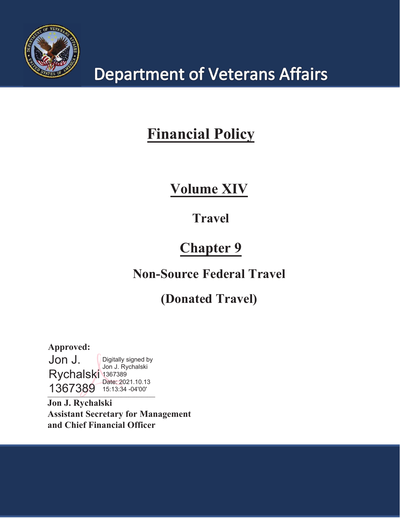

# **Department of Veterans Affairs**

# **Financial Policy**

# $\boldsymbol{\mathrm{Volume}}$  XIV

# **Travel**

# **Chapter 9**

# **Non-Source Federal Travel**

# **(Donated Travel)**

**BBBBBBBBBBBBBBBBBBBBBBBBBBBBBBBBBBBBBBBBB** Approved: Jon J. Rychalski 1367389 1367389 Digitally signed by Jon J. Rychalski Date: 2021.10.13 15:13:34 -04'00'

Jon J. Rychalski **Assistant Secretary for Management** and Chief Financial Officer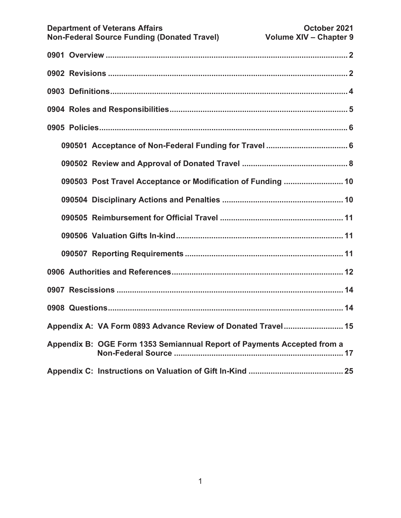| 090503 Post Travel Acceptance or Modification of Funding  10            |  |  |  |  |  |
|-------------------------------------------------------------------------|--|--|--|--|--|
|                                                                         |  |  |  |  |  |
|                                                                         |  |  |  |  |  |
|                                                                         |  |  |  |  |  |
|                                                                         |  |  |  |  |  |
|                                                                         |  |  |  |  |  |
|                                                                         |  |  |  |  |  |
|                                                                         |  |  |  |  |  |
| Appendix A: VA Form 0893 Advance Review of Donated Travel 15            |  |  |  |  |  |
| Appendix B: OGE Form 1353 Semiannual Report of Payments Accepted from a |  |  |  |  |  |
|                                                                         |  |  |  |  |  |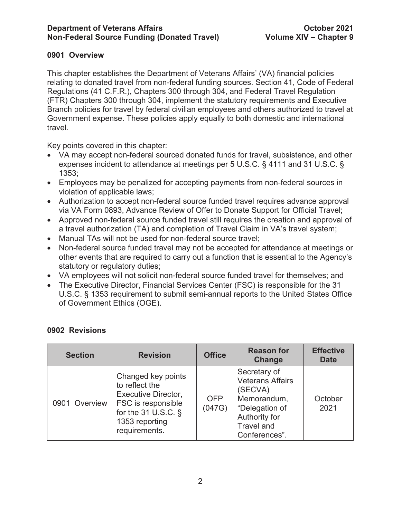# **0901 Overview**

This chapter establishes the Department of Veterans Affairs' (VA) financial policies relating to donated travel from non-federal funding sources. Section 41, Code of Federal Regulations (41 C.F.R.), Chapters 300 through 304, and Federal Travel Regulation (FTR) Chapters 300 through 304, implement the statutory requirements and Executive Branch policies for travel by federal civilian employees and others authorized to travel at Government expense. These policies apply equally to both domestic and international travel.

Key points covered in this chapter:

- VA may accept non-federal sourced donated funds for travel, subsistence, and other expenses incident to attendance at meetings per 5 U.S.C. § 4111 and 31 U.S.C. § 1353;
- Employees may be penalized for accepting payments from non-federal sources in violation of applicable laws;
- Authorization to accept non-federal source funded travel requires advance approval via VA Form 0893, Advance Review of Offer to Donate Support for Official Travel;
- Approved non-federal source funded travel still requires the creation and approval of a travel authorization (TA) and completion of Travel Claim in VA's travel system;
- Manual TAs will not be used for non-federal source travel;
- Non-federal source funded travel may not be accepted for attendance at meetings or other events that are required to carry out a function that is essential to the Agency's statutory or regulatory duties;
- VA employees will not solicit non-federal source funded travel for themselves; and
- The Executive Director, Financial Services Center (FSC) is responsible for the 31 U.S.C. § 1353 requirement to submit semi-annual reports to the United States Office of Government Ethics (OGE).

| <b>Section</b> | <b>Revision</b>                                                                                                                                       | <b>Office</b>        | <b>Reason for</b><br>Change                                                                                                         | <b>Effective</b><br><b>Date</b> |
|----------------|-------------------------------------------------------------------------------------------------------------------------------------------------------|----------------------|-------------------------------------------------------------------------------------------------------------------------------------|---------------------------------|
| 0901 Overview  | Changed key points<br>to reflect the<br><b>Executive Director,</b><br>FSC is responsible<br>for the 31 U.S.C. $\S$<br>1353 reporting<br>requirements. | <b>OFP</b><br>(047G) | Secretary of<br><b>Veterans Affairs</b><br>(SECVA)<br>Memorandum,<br>"Delegation of<br>Authority for<br>Travel and<br>Conferences". | October<br>2021                 |

# **0902 Revisions**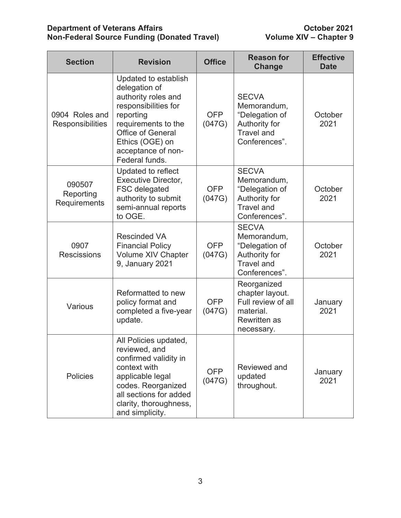# **Department of Veterans Affairs Action Contract Contract Contract Contract October 2021 Non-Federal Source Funding (Donated Travel) Volume XIV – Chapter 9**

| <b>Section</b>                      | <b>Revision</b>                                                                                                                                                                                                 | <b>Office</b>        | <b>Reason for</b><br><b>Change</b>                                                                     | <b>Effective</b><br><b>Date</b> |
|-------------------------------------|-----------------------------------------------------------------------------------------------------------------------------------------------------------------------------------------------------------------|----------------------|--------------------------------------------------------------------------------------------------------|---------------------------------|
| 0904 Roles and<br>Responsibilities  | Updated to establish<br>delegation of<br>authority roles and<br>responsibilities for<br>reporting<br>requirements to the<br><b>Office of General</b><br>Ethics (OGE) on<br>acceptance of non-<br>Federal funds. | <b>OFP</b><br>(047G) | <b>SECVA</b><br>Memorandum,<br>"Delegation of<br>Authority for<br><b>Travel and</b><br>Conferences".   | October<br>2021                 |
| 090507<br>Reporting<br>Requirements | Updated to reflect<br><b>Executive Director,</b><br>FSC delegated<br>authority to submit<br>semi-annual reports<br>to OGE.                                                                                      | <b>OFP</b><br>(047G) | <b>SECVA</b><br>Memorandum,<br>"Delegation of<br>Authority for<br><b>Travel and</b><br>Conferences".   | October<br>2021                 |
| 0907<br><b>Rescissions</b>          | <b>Rescinded VA</b><br><b>Financial Policy</b><br><b>Volume XIV Chapter</b><br>9, January 2021                                                                                                                  | <b>OFP</b><br>(047G) | <b>SECVA</b><br>Memorandum,<br>"Delegation of<br>Authority for<br><b>Travel and</b><br>Conferences".   | October<br>2021                 |
| Various                             | Reformatted to new<br>policy format and<br>completed a five-year<br>update.                                                                                                                                     | <b>OFP</b><br>(047G) | Reorganized<br>chapter layout.<br>Full review of all<br>material.<br><b>Rewritten as</b><br>necessary. | January<br>2021                 |
| <b>Policies</b>                     | All Policies updated,<br>reviewed, and<br>confirmed validity in<br>context with<br>applicable legal<br>codes. Reorganized<br>all sections for added<br>clarity, thoroughness,<br>and simplicity.                | <b>OFP</b><br>(047G) | Reviewed and<br>updated<br>throughout.                                                                 | January<br>2021                 |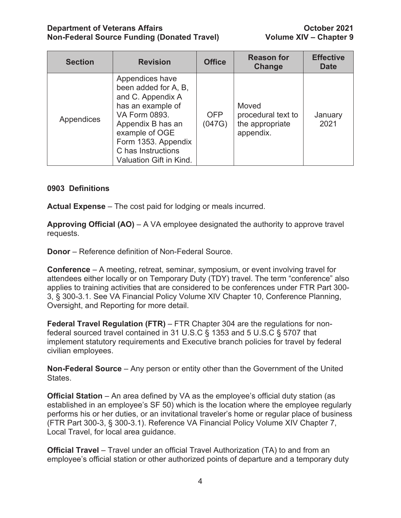## **Department of Veterans Affairs Community Community Community Community Community Community Community Community Non-Federal Source Funding (Donated Travel) Volume XIV – Chapter 9**

| <b>Section</b> | <b>Revision</b>                                                                                                                                                                                                   | <b>Office</b>        | <b>Reason for</b><br>Change                                 | <b>Effective</b><br><b>Date</b> |
|----------------|-------------------------------------------------------------------------------------------------------------------------------------------------------------------------------------------------------------------|----------------------|-------------------------------------------------------------|---------------------------------|
| Appendices     | Appendices have<br>been added for A, B,<br>and C. Appendix A<br>has an example of<br>VA Form 0893.<br>Appendix B has an<br>example of OGE<br>Form 1353. Appendix<br>C has Instructions<br>Valuation Gift in Kind. | <b>OFP</b><br>(047G) | Moved<br>procedural text to<br>the appropriate<br>appendix. | January<br>2021                 |

# **0903 Definitions**

**Actual Expense** – The cost paid for lodging or meals incurred.

**Approving Official (AO)** – A VA employee designated the authority to approve travel requests.

**Donor** – Reference definition of Non-Federal Source.

**Conference** – A meeting, retreat, seminar, symposium, or event involving travel for attendees either locally or on Temporary Duty (TDY) travel. The term "conference" also applies to training activities that are considered to be conferences under FTR Part 300- 3, § 300-3.1. See VA Financial Policy Volume XIV Chapter 10, Conference Planning, Oversight, and Reporting for more detail.

**Federal Travel Regulation (FTR)** – FTR Chapter 304 are the regulations for nonfederal sourced travel contained in 31 U.S.C § 1353 and 5 U.S.C § 5707 that implement statutory requirements and Executive branch policies for travel by federal civilian employees.

**Non-Federal Source** – Any person or entity other than the Government of the United States.

**Official Station** – An area defined by VA as the employee's official duty station (as established in an employee's SF 50) which is the location where the employee regularly performs his or her duties, or an invitational traveler's home or regular place of business (FTR Part 300-3, § 300-3.1). Reference VA Financial Policy Volume XIV Chapter 7, Local Travel, for local area guidance.

**Official Travel** – Travel under an official Travel Authorization (TA) to and from an employee's official station or other authorized points of departure and a temporary duty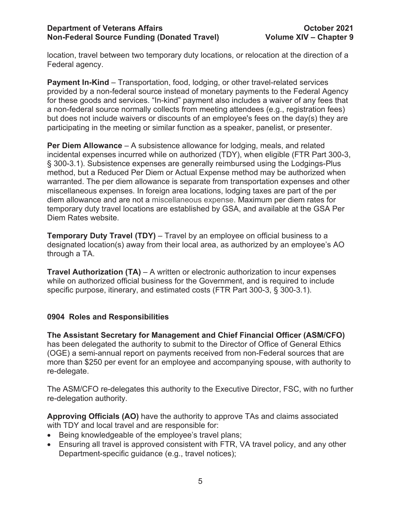location, travel between two temporary duty locations, or relocation at the direction of a Federal agency.

**Payment In-Kind** – Transportation, food, lodging, or other travel-related services provided by a non-federal source instead of monetary payments to the Federal Agency for these goods and services. "In-kind" payment also includes a waiver of any fees that a non-federal source normally collects from meeting attendees (e.g., registration fees) but does not include waivers or discounts of an employee's fees on the day(s) they are participating in the meeting or similar function as a speaker, panelist, or presenter.

**Per Diem Allowance** – A subsistence allowance for lodging, meals, and related incidental expenses incurred while on authorized (TDY), when eligible (FTR Part 300-3, § 300-3.1). Subsistence expenses are generally reimbursed using the Lodgings-Plus method, but a Reduced Per Diem or Actual Expense method may be authorized when warranted. The per diem allowance is separate from transportation expenses and other miscellaneous expenses. In foreign area locations, lodging taxes are part of the per diem allowance and are not a miscellaneous expense. Maximum per diem rates for temporary duty travel locations are established by GSA, and available at the GSA Per Diem Rates website.

**Temporary Duty Travel (TDY)** – Travel by an employee on official business to a designated location(s) away from their local area, as authorized by an employee's AO through a TA.

**Travel Authorization (TA)** – A written or electronic authorization to incur expenses while on authorized official business for the Government, and is required to include specific purpose, itinerary, and estimated costs (FTR Part 300-3, § 300-3.1).

# **0904 Roles and Responsibilities**

**The Assistant Secretary for Management and Chief Financial Officer (ASM/CFO)** has been delegated the authority to submit to the Director of Office of General Ethics (OGE) a semi-annual report on payments received from non-Federal sources that are more than \$250 per event for an employee and accompanying spouse, with authority to re-delegate.

The ASM/CFO re-delegates this authority to the Executive Director, FSC, with no further re-delegation authority.

**Approving Officials (AO)** have the authority to approve TAs and claims associated with TDY and local travel and are responsible for:

- Being knowledgeable of the employee's travel plans;
- Ensuring all travel is approved consistent with FTR, VA travel policy, and any other Department-specific guidance (e.g., travel notices);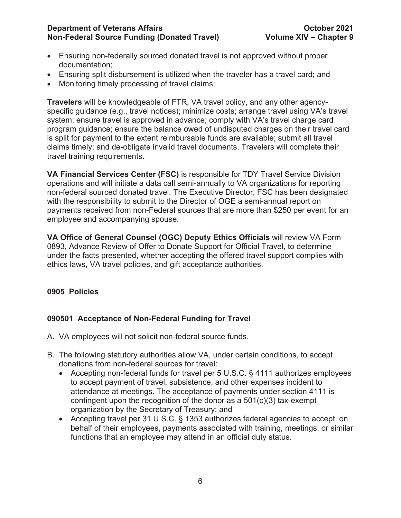# **Department of Veterans Affairs Community Community Community Community Community Community Community Community Non-Federal Source Funding (Donated Travel) Volume XIV – Chapter 9**

- Ensuring non-federally sourced donated travel is not approved without proper documentation;
- Ensuring split disbursement is utilized when the traveler has a travel card; and
- Monitoring timely processing of travel claims;

**Travelers** will be knowledgeable of FTR, VA travel policy, and any other agencyspecific guidance (e.g., travel notices); minimize costs; arrange travel using VA's travel system; ensure travel is approved in advance; comply with VA's travel charge card program guidance; ensure the balance owed of undisputed charges on their travel card is split for payment to the extent reimbursable funds are available; submit all travel claims timely; and de-obligate invalid travel documents. Travelers will complete their travel training requirements.

**VA Financial Services Center (FSC)** is responsible for TDY Travel Service Division operations and will initiate a data call semi-annually to VA organizations for reporting non-federal sourced donated travel. The Executive Director, FSC has been designated with the responsibility to submit to the Director of OGE a semi-annual report on payments received from non-Federal sources that are more than \$250 per event for an employee and accompanying spouse.

**VA Office of General Counsel (OGC) Deputy Ethics Officials** will review VA Form 0893, Advance Review of Offer to Donate Support for Official Travel, to determine under the facts presented, whether accepting the offered travel support complies with ethics laws, VA travel policies, and gift acceptance authorities.

# **0905 Policies**

# **090501 Acceptance of Non-Federal Funding for Travel**

- A. VA employees will not solicit non-federal source funds.
- B. The following statutory authorities allow VA, under certain conditions, to accept donations from non-federal sources for travel:
	- Accepting non-federal funds for travel per 5 U.S.C. § 4111 authorizes employees to accept payment of travel, subsistence, and other expenses incident to attendance at meetings. The acceptance of payments under section 4111 is contingent upon the recognition of the donor as a  $501(c)(3)$  tax-exempt organization by the Secretary of Treasury; and
	- Accepting travel per 31 U.S.C. § 1353 authorizes federal agencies to accept, on behalf of their employees, payments associated with training, meetings, or similar functions that an employee may attend in an official duty status.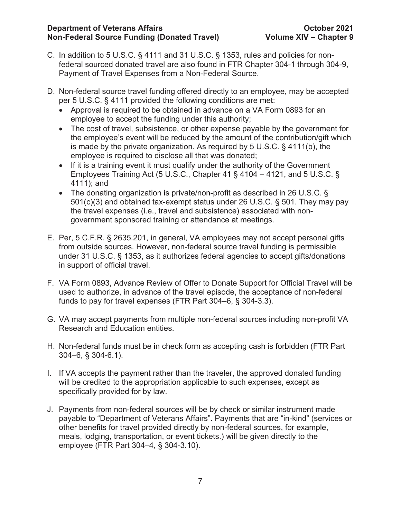- C. In addition to 5 U.S.C. § 4111 and 31 U.S.C. § 1353, rules and policies for nonfederal sourced donated travel are also found in FTR Chapter 304-1 through 304-9, Payment of Travel Expenses from a Non-Federal Source.
- D. Non-federal source travel funding offered directly to an employee, may be accepted per 5 U.S.C. § 4111 provided the following conditions are met:
	- Approval is required to be obtained in advance on a VA Form 0893 for an employee to accept the funding under this authority;
	- The cost of travel, subsistence, or other expense payable by the government for the employee's event will be reduced by the amount of the contribution/gift which is made by the private organization. As required by 5 U.S.C. § 4111(b), the employee is required to disclose all that was donated;
	- If it is a training event it must qualify under the authority of the Government Employees Training Act (5 U.S.C., Chapter 41  $\S$  4104 – 4121, and 5 U.S.C.  $\S$ 4111); and
	- The donating organization is private/non-profit as described in 26 U.S.C. § 501(c)(3) and obtained tax-exempt status under 26 U.S.C. § 501. They may pay the travel expenses (i.e., travel and subsistence) associated with nongovernment sponsored training or attendance at meetings.
- E. Per, 5 C.F.R. § 2635.201, in general, VA employees may not accept personal gifts from outside sources. However, non-federal source travel funding is permissible under 31 U.S.C. § 1353, as it authorizes federal agencies to accept gifts/donations in support of official travel.
- F. VA Form 0893, Advance Review of Offer to Donate Support for Official Travel will be used to authorize, in advance of the travel episode, the acceptance of non-federal funds to pay for travel expenses (FTR Part 304–6, § 304-3.3).
- G. VA may accept payments from multiple non-federal sources including non-profit VA Research and Education entities.
- H. Non-federal funds must be in check form as accepting cash is forbidden (FTR Part 304–6, § 304-6.1).
- I. If VA accepts the payment rather than the traveler, the approved donated funding will be credited to the appropriation applicable to such expenses, except as specifically provided for by law.
- J. Payments from non-federal sources will be by check or similar instrument made payable to "Department of Veterans Affairs". Payments that are "in-kind" (services or other benefits for travel provided directly by non-federal sources, for example, meals, lodging, transportation, or event tickets.) will be given directly to the employee (FTR Part 304–4, § 304-3.10).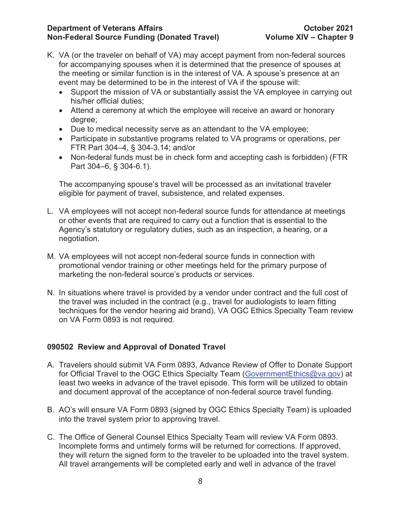## **Department of Veterans Affairs October 2021 Non-Federal Source Funding (Donated Travel)**

- K. VA (or the traveler on behalf of VA) may accept payment from non-federal sources for accompanying spouses when it is determined that the presence of spouses at the meeting or similar function is in the interest of VA. A spouse's presence at an event may be determined to be in the interest of VA if the spouse will:
	- Support the mission of VA or substantially assist the VA employee in carrying out his/her official duties;
	- Attend a ceremony at which the employee will receive an award or honorary degree;
	- Due to medical necessity serve as an attendant to the VA employee;
	- Participate in substantive programs related to VA programs or operations, per FTR Part 304–4, § 304-3.14; and/or
	- Non-federal funds must be in check form and accepting cash is forbidden) (FTR Part 304–6, § 304-6.1).

The accompanying spouse's travel will be processed as an invitational traveler eligible for payment of travel, subsistence, and related expenses.

- L. VA employees will not accept non-federal source funds for attendance at meetings or other events that are required to carry out a function that is essential to the Agency's statutory or regulatory duties, such as an inspection, a hearing, or a negotiation.
- M. VA employees will not accept non-federal source funds in connection with promotional vendor training or other meetings held for the primary purpose of marketing the non-federal source's products or services.
- N. In situations where travel is provided by a vendor under contract and the full cost of the travel was included in the contract (e.g., travel for audiologists to learn fitting techniques for the vendor hearing aid brand), VA OGC Ethics Specialty Team review on VA Form 0893 is not required.

# **090502 Review and Approval of Donated Travel**

- A. Travelers should submit VA Form 0893, Advance Review of Offer to Donate Support for Official Travel to the OGC Ethics Specialty Team (GovernmentEthics@va.gov) at least two weeks in advance of the travel episode. This form will be utilized to obtain and document approval of the acceptance of non-federal source travel funding.
- B. AO's will ensure VA Form 0893 (signed by OGC Ethics Specialty Team) is uploaded into the travel system prior to approving travel.
- C. The Office of General Counsel Ethics Specialty Team will review VA Form 0893. Incomplete forms and untimely forms will be returned for corrections. If approved, they will return the signed form to the traveler to be uploaded into the travel system. All travel arrangements will be completed early and well in advance of the travel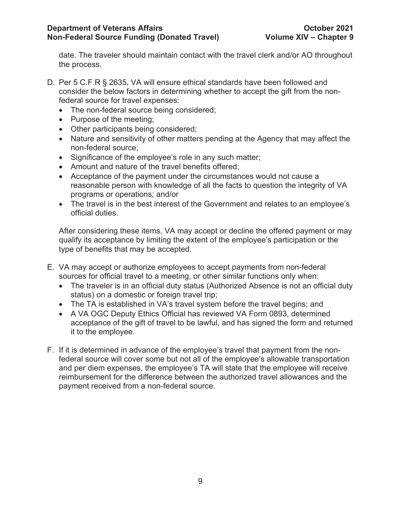date. The traveler should maintain contact with the travel clerk and/or AO throughout the process.

- D. Per 5 C.F.R § 2635, VA will ensure ethical standards have been followed and consider the below factors in determining whether to accept the gift from the nonfederal source for travel expenses:
	- The non-federal source being considered;
	- Purpose of the meeting;
	- Other participants being considered;
	- Nature and sensitivity of other matters pending at the Agency that may affect the non-federal source;
	- Significance of the employee's role in any such matter;
	- Amount and nature of the travel benefits offered:
	- Acceptance of the payment under the circumstances would not cause a reasonable person with knowledge of all the facts to question the integrity of VA programs or operations; and/or
	- The travel is in the best interest of the Government and relates to an employee's official duties.

After considering these items, VA may accept or decline the offered payment or may qualify its acceptance by limiting the extent of the employee's participation or the type of benefits that may be accepted.

- E. VA may accept or authorize employees to accept payments from non-federal sources for official travel to a meeting, or other similar functions only when:
	- The traveler is in an official duty status (Authorized Absence is not an official duty status) on a domestic or foreign travel trip;
	- The TA is established in VA's travel system before the travel begins; and
	- A VA OGC Deputy Ethics Official has reviewed VA Form 0893, determined acceptance of the gift of travel to be lawful, and has signed the form and returned it to the employee.
- F. If it is determined in advance of the employee's travel that payment from the nonfederal source will cover some but not all of the employee's allowable transportation and per diem expenses, the employee's TA will state that the employee will receive reimbursement for the difference between the authorized travel allowances and the payment received from a non-federal source.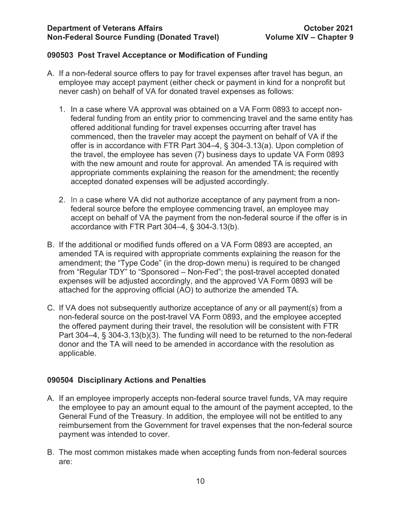# **090503 Post Travel Acceptance or Modification of Funding**

- A. If a non-federal source offers to pay for travel expenses after travel has begun, an employee may accept payment (either check or payment in kind for a nonprofit but never cash) on behalf of VA for donated travel expenses as follows:
	- 1. In a case where VA approval was obtained on a VA Form 0893 to accept nonfederal funding from an entity prior to commencing travel and the same entity has offered additional funding for travel expenses occurring after travel has commenced, then the traveler may accept the payment on behalf of VA if the offer is in accordance with FTR Part 304–4, § 304-3.13(a). Upon completion of the travel, the employee has seven (7) business days to update VA Form 0893 with the new amount and route for approval. An amended TA is required with appropriate comments explaining the reason for the amendment; the recently accepted donated expenses will be adjusted accordingly.
	- 2. In a case where VA did not authorize acceptance of any payment from a nonfederal source before the employee commencing travel, an employee may accept on behalf of VA the payment from the non-federal source if the offer is in accordance with FTR Part 304–4, § 304-3.13(b).
- B. If the additional or modified funds offered on a VA Form 0893 are accepted, an amended TA is required with appropriate comments explaining the reason for the amendment; the "Type Code" (in the drop-down menu) is required to be changed from "Regular TDY" to "Sponsored – Non-Fed"; the post-travel accepted donated expenses will be adjusted accordingly, and the approved VA Form 0893 will be attached for the approving official (AO) to authorize the amended TA.
- C. If VA does not subsequently authorize acceptance of any or all payment(s) from a non-federal source on the post-travel VA Form 0893, and the employee accepted the offered payment during their travel, the resolution will be consistent with FTR Part 304–4, § 304-3.13(b)(3). The funding will need to be returned to the non-federal donor and the TA will need to be amended in accordance with the resolution as applicable.

# **090504 Disciplinary Actions and Penalties**

- A. If an employee improperly accepts non-federal source travel funds, VA may require the employee to pay an amount equal to the amount of the payment accepted, to the General Fund of the Treasury. In addition, the employee will not be entitled to any reimbursement from the Government for travel expenses that the non-federal source payment was intended to cover.
- B. The most common mistakes made when accepting funds from non-federal sources are: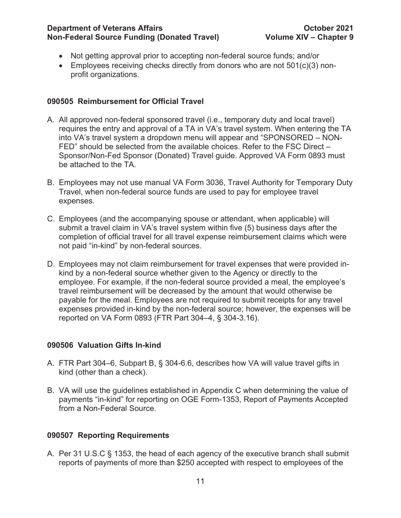# **Department of Veterans Affairs October 2021 Non-Federal Source Funding (Donated Travel)**

- Not getting approval prior to accepting non-federal source funds; and/or
- Employees receiving checks directly from donors who are not  $501(c)(3)$  nonprofit organizations.

# **090505 Reimbursement for Official Travel**

- A. All approved non-federal sponsored travel (i.e., temporary duty and local travel) requires the entry and approval of a TA in VA's travel system. When entering the TA into VA's travel system a dropdown menu will appear and "SPONSORED – NON-FED" should be selected from the available choices. Refer to the FSC Direct – Sponsor/Non-Fed Sponsor (Donated) Travel guide. Approved VA Form 0893 must be attached to the TA.
- B. Employees may not use manual VA Form 3036, Travel Authority for Temporary Duty Travel, when non-federal source funds are used to pay for employee travel expenses.
- C. Employees (and the accompanying spouse or attendant, when applicable) will submit a travel claim in VA's travel system within five (5) business days after the completion of official travel for all travel expense reimbursement claims which were not paid "in-kind" by non-federal sources.
- D. Employees may not claim reimbursement for travel expenses that were provided inkind by a non-federal source whether given to the Agency or directly to the employee. For example, if the non-federal source provided a meal, the employee's travel reimbursement will be decreased by the amount that would otherwise be payable for the meal. Employees are not required to submit receipts for any travel expenses provided in-kind by the non-federal source; however, the expenses will be reported on VA Form 0893 (FTR Part 304–4, § 304-3.16).

# **090506 Valuation Gifts In-kind**

- A. FTR Part 304–6, Subpart B, § 304-6.6, describes how VA will value travel gifts in kind (other than a check).
- B. VA will use the guidelines established in Appendix C when determining the value of payments "in-kind" for reporting on OGE Form-1353, Report of Payments Accepted from a Non-Federal Source.

# **090507 Reporting Requirements**

A. Per 31 U.S.C § 1353, the head of each agency of the executive branch shall submit reports of payments of more than \$250 accepted with respect to employees of the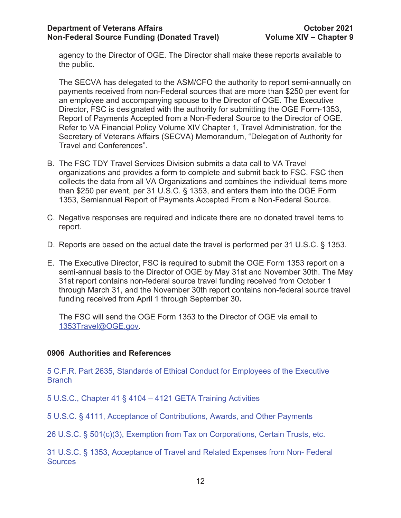agency to the Director of OGE. The Director shall make these reports available to the public.

The SECVA has delegated to the ASM/CFO the authority to report semi-annually on payments received from non-Federal sources that are more than \$250 per event for an employee and accompanying spouse to the Director of OGE. The Executive Director, FSC is designated with the authority for submitting the OGE Form-1353, Report of Payments Accepted from a Non-Federal Source to the Director of OGE. Refer to VA Financial Policy Volume XIV Chapter 1, Travel Administration, for the Secretary of Veterans Affairs (SECVA) Memorandum, "Delegation of Authority for Travel and Conferences".

- B. The FSC TDY Travel Services Division submits a data call to VA Travel organizations and provides a form to complete and submit back to FSC. FSC then collects the data from all VA Organizations and combines the individual items more than \$250 per event, per 31 U.S.C. § 1353, and enters them into the OGE Form 1353, Semiannual Report of Payments Accepted From a Non-Federal Source.
- C. Negative responses are required and indicate there are no donated travel items to report.
- D. Reports are based on the actual date the travel is performed per 31 U.S.C. § 1353.
- E. The Executive Director, FSC is required to submit the OGE Form 1353 report on a semi-annual basis to the Director of OGE by May 31st and November 30th. The May 31st report contains non-federal source travel funding received from October 1 through March 31, and the November 30th report contains non-federal source travel funding received from April 1 through September 30**.**

The FSC will send the OGE Form 1353 to the Director of OGE via email to 1353Travel@OGE.gov.

# **0906 Authorities and References**

5 C.F.R. Part 2635, Standards of Ethical Conduct for Employees of the Executive **Branch** 

5 U.S.C., Chapter 41 § 4104 – 4121 GETA Training Activities

5 U.S.C. § 4111, Acceptance of Contributions, Awards, and Other Payments

26 U.S.C. § 501(c)(3), Exemption from Tax on Corporations, Certain Trusts, etc.

31 U.S.C. § 1353, Acceptance of Travel and Related Expenses from Non- Federal **Sources**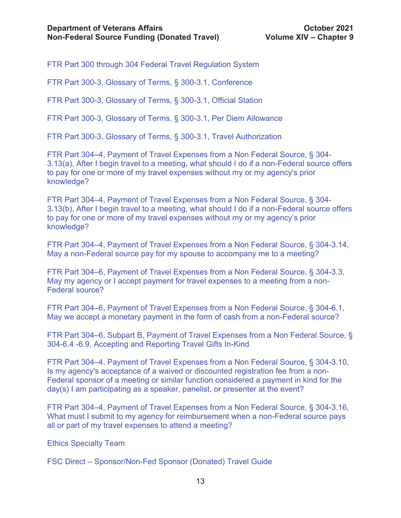FTR Part 300 through 304 Federal Travel Regulation System

FTR Part 300-3, Glossary of Terms, § 300-3.1, Conference

FTR Part 300-3, Glossary of Terms, § 300-3.1, Official Station

FTR Part 300-3, Glossary of Terms, § 300-3.1, Per Diem Allowance

FTR Part 300-3, Glossary of Terms, § 300-3.1, Travel Authorization

FTR Part 304–4, Payment of Travel Expenses from a Non Federal Source, § 304- 3.13(a), After I begin travel to a meeting, what should I do if a non-Federal source offers to pay for one or more of my travel expenses without my or my agency's prior knowledge?

FTR Part 304–4, Payment of Travel Expenses from a Non Federal Source, § 304- 3.13(b), After I begin travel to a meeting, what should I do if a non-Federal source offers to pay for one or more of my travel expenses without my or my agency's prior knowledge?

FTR Part 304–4, Payment of Travel Expenses from a Non Federal Source, § 304-3.14, May a non-Federal source pay for my spouse to accompany me to a meeting?

FTR Part 304–6, Payment of Travel Expenses from a Non Federal Source, § 304-3.3, May my agency or I accept payment for travel expenses to a meeting from a non-Federal source?

FTR Part 304–6, Payment of Travel Expenses from a Non Federal Source, § 304-6.1, May we accept a monetary payment in the form of cash from a non-Federal source?

FTR Part 304–6, Subpart B, Payment of Travel Expenses from a Non Federal Source, § 304-6.4 -6.9, Accepting and Reporting Travel Gifts In-Kind

FTR Part 304–4, Payment of Travel Expenses from a Non Federal Source, § 304-3.10, Is my agency's acceptance of a waived or discounted registration fee from a non-Federal sponsor of a meeting or similar function considered a payment in kind for the day(s) I am participating as a speaker, panelist, or presenter at the event?

FTR Part 304–4, Payment of Travel Expenses from a Non Federal Source, § 304-3.16, What must I submit to my agency for reimbursement when a non-Federal source pays all or part of my travel expenses to attend a meeting?

Ethics Specialty Team

FSC Direct – Sponsor/Non-Fed Sponsor (Donated) Travel Guide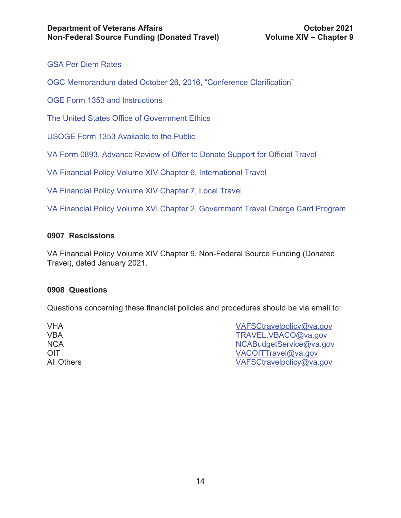GSA Per Diem Rates

OGC Memorandum dated October 26, 2016, "Conference Clarification"

OGE Form 1353 and Instructions

The United States Office of Government Ethics

USOGE Form 1353 Available to the Public

VA Form 0893, Advance Review of Offer to Donate Support for Official Travel

VA Financial Policy Volume XIV Chapter 6, International Travel

VA Financial Policy Volume XIV Chapter 7, Local Travel

VA Financial Policy Volume XVI Chapter 2, Government Travel Charge Card Program

# **0907 Rescissions**

VA Financial Policy Volume XIV Chapter 9, Non-Federal Source Funding (Donated Travel), dated January 2021.

### **0908 Questions**

Questions concerning these financial policies and procedures should be via email to:

| VAFSCtravelpolicy@va.gov |
|--------------------------|
| TRAVEL.VBACO@va.gov      |
| NCABudgetService@va.gov  |
| VACOITTravel@va.gov      |
| VAFSCtravelpolicy@va.gov |
|                          |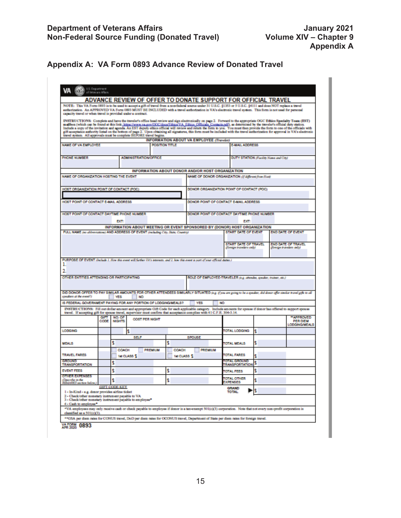# **Appendix A: VA Form 0893 Advance Review of Donated Travel**

| NOTE: This VA Form 0893 is to be used to accept a gift of travel from a non-federal source under 31 U.S.C. §1353 or 5 U.S.C. §4111 and does NOT replace a travel                                                                                                                                                                                                                                                                                                                                                                                                                                                                                                                                                                                                      |                           |                              |                       |                             | ADVANCE REVIEW OF OFFER TO DONATE SUPPORT FOR OFFICIAL TRAVEL                                                                                                                                                                                                                                                                                             |                                                                  |   |                           |                 |
|-----------------------------------------------------------------------------------------------------------------------------------------------------------------------------------------------------------------------------------------------------------------------------------------------------------------------------------------------------------------------------------------------------------------------------------------------------------------------------------------------------------------------------------------------------------------------------------------------------------------------------------------------------------------------------------------------------------------------------------------------------------------------|---------------------------|------------------------------|-----------------------|-----------------------------|-----------------------------------------------------------------------------------------------------------------------------------------------------------------------------------------------------------------------------------------------------------------------------------------------------------------------------------------------------------|------------------------------------------------------------------|---|---------------------------|-----------------|
| authorization. An APPROVED VA Form 0893 MUST BE INCLUDED with a travel authorization in VA's electronic travel system. This form is not used for personal<br>capacity travel or when travel is provided under a contract.                                                                                                                                                                                                                                                                                                                                                                                                                                                                                                                                             |                           |                              |                       |                             |                                                                                                                                                                                                                                                                                                                                                           |                                                                  |   |                           |                 |
|                                                                                                                                                                                                                                                                                                                                                                                                                                                                                                                                                                                                                                                                                                                                                                       |                           |                              |                       |                             | INSTRUCTIONS: Complete and have the traveler's office head review and sign electronically on page 2. Forward to the appropriate OGC Ethics Specialty Team (EST)                                                                                                                                                                                           |                                                                  |   |                           |                 |
|                                                                                                                                                                                                                                                                                                                                                                                                                                                                                                                                                                                                                                                                                                                                                                       |                           |                              |                       |                             | mailbox (which can be found at this link; https://www.va.cov/OOC/doca/lithics/VA_Ethics Officials Contacts.ndf), as determined by the traveler's official daty station.<br>Include a copy of the invitation and agenda. An EST deputy effice official will review and return the form to you. You must then provide the form to one of the officials with |                                                                  |   |                           |                 |
| travel system. All approvals must be complete ISEFORE travel begins.                                                                                                                                                                                                                                                                                                                                                                                                                                                                                                                                                                                                                                                                                                  |                           |                              |                       |                             | gift acceptance authority listed on the bottom of page 2. Upon obtaining all signatures, this form must be included with the travel authorization for approval in VA's electronic                                                                                                                                                                         |                                                                  |   |                           |                 |
| NAME OF VALEMPLOYEE                                                                                                                                                                                                                                                                                                                                                                                                                                                                                                                                                                                                                                                                                                                                                   |                           |                              |                       | POSITION TITLE              | INFORMATION ABOUT VA EMPLOYEE (Traveler)                                                                                                                                                                                                                                                                                                                  | E-MAIL ADDRESS                                                   |   |                           |                 |
|                                                                                                                                                                                                                                                                                                                                                                                                                                                                                                                                                                                                                                                                                                                                                                       |                           |                              |                       |                             |                                                                                                                                                                                                                                                                                                                                                           |                                                                  |   |                           |                 |
| PHONE NUMBER                                                                                                                                                                                                                                                                                                                                                                                                                                                                                                                                                                                                                                                                                                                                                          |                           | <b>ADMINISTRATION/OFFICE</b> |                       |                             |                                                                                                                                                                                                                                                                                                                                                           | <b>DUTY STATION (Facility Name and City)</b>                     |   |                           |                 |
|                                                                                                                                                                                                                                                                                                                                                                                                                                                                                                                                                                                                                                                                                                                                                                       |                           |                              |                       |                             | INFORMATION ABOUT DONOR AND/OR HOST ORGANIZATION                                                                                                                                                                                                                                                                                                          |                                                                  |   |                           |                 |
| NAME OF ORGANIZATION HOSTING THE EVENT                                                                                                                                                                                                                                                                                                                                                                                                                                                                                                                                                                                                                                                                                                                                |                           |                              |                       |                             |                                                                                                                                                                                                                                                                                                                                                           | NAME OF DONOR ORGANIZATION (I) district from Host                |   |                           |                 |
|                                                                                                                                                                                                                                                                                                                                                                                                                                                                                                                                                                                                                                                                                                                                                                       |                           |                              |                       |                             |                                                                                                                                                                                                                                                                                                                                                           |                                                                  |   |                           |                 |
| HOST ORGANIZATION POINT OF CONTACT (POC)                                                                                                                                                                                                                                                                                                                                                                                                                                                                                                                                                                                                                                                                                                                              |                           |                              |                       |                             |                                                                                                                                                                                                                                                                                                                                                           | DONOR ORGANIZATION POINT OF CONTACT (POC)                        |   |                           |                 |
| HOST POINT OF CONTACT E-MAIL ADDRESS                                                                                                                                                                                                                                                                                                                                                                                                                                                                                                                                                                                                                                                                                                                                  |                           |                              |                       |                             |                                                                                                                                                                                                                                                                                                                                                           | DONOR POINT OF CONTACT E-MAIL ADDRESS                            |   |                           |                 |
| HOST POINT OF CONTACT DAYTIME PHONE NUMBER                                                                                                                                                                                                                                                                                                                                                                                                                                                                                                                                                                                                                                                                                                                            |                           |                              |                       |                             |                                                                                                                                                                                                                                                                                                                                                           | DONOR POINT OF CONTACT DAYTIME PHONE NUMBER                      |   |                           |                 |
|                                                                                                                                                                                                                                                                                                                                                                                                                                                                                                                                                                                                                                                                                                                                                                       |                           | <b>DCT:</b>                  |                       |                             |                                                                                                                                                                                                                                                                                                                                                           | <b>EXT:</b>                                                      |   |                           |                 |
| FULL NAME (no alderedation) AND ADDRESS OF EVENT (including City, State, Country)                                                                                                                                                                                                                                                                                                                                                                                                                                                                                                                                                                                                                                                                                     |                           |                              |                       |                             | INFORMATION ABOUT MEETING OR EVENT SPONSORED BY (DONOR) HOST ORGANIZATION                                                                                                                                                                                                                                                                                 | START DATE OF EVENT                                              |   | <b>END DATE OF EVENT</b>  |                 |
|                                                                                                                                                                                                                                                                                                                                                                                                                                                                                                                                                                                                                                                                                                                                                                       |                           |                              |                       |                             |                                                                                                                                                                                                                                                                                                                                                           |                                                                  |   |                           |                 |
|                                                                                                                                                                                                                                                                                                                                                                                                                                                                                                                                                                                                                                                                                                                                                                       |                           |                              |                       |                             |                                                                                                                                                                                                                                                                                                                                                           | START DATE OF TRAVEL                                             |   | <b>END DATE OF TRAVEL</b> |                 |
|                                                                                                                                                                                                                                                                                                                                                                                                                                                                                                                                                                                                                                                                                                                                                                       |                           |                              |                       |                             |                                                                                                                                                                                                                                                                                                                                                           | (foreign translers only)                                         |   | (foreign travelers and/o  |                 |
| PURPOSE OF EVENT (behals 1. Now this most will further KK's interests, and 2. how this system is part of your official duties.)                                                                                                                                                                                                                                                                                                                                                                                                                                                                                                                                                                                                                                       |                           |                              |                       |                             |                                                                                                                                                                                                                                                                                                                                                           |                                                                  |   |                           |                 |
| ı                                                                                                                                                                                                                                                                                                                                                                                                                                                                                                                                                                                                                                                                                                                                                                     |                           |                              |                       |                             |                                                                                                                                                                                                                                                                                                                                                           |                                                                  |   |                           |                 |
| OTHER ENTITIES ATTENDING OR PARTICIPATING                                                                                                                                                                                                                                                                                                                                                                                                                                                                                                                                                                                                                                                                                                                             |                           |                              |                       |                             |                                                                                                                                                                                                                                                                                                                                                           | ROLE OF EMPLOYEE-TRAVELER (e.g. ansades, speaker, trainer, etc.) |   |                           |                 |
|                                                                                                                                                                                                                                                                                                                                                                                                                                                                                                                                                                                                                                                                                                                                                                       |                           |                              |                       |                             |                                                                                                                                                                                                                                                                                                                                                           |                                                                  |   |                           |                 |
|                                                                                                                                                                                                                                                                                                                                                                                                                                                                                                                                                                                                                                                                                                                                                                       |                           |                              |                       |                             |                                                                                                                                                                                                                                                                                                                                                           |                                                                  |   |                           |                 |
|                                                                                                                                                                                                                                                                                                                                                                                                                                                                                                                                                                                                                                                                                                                                                                       |                           |                              |                       |                             |                                                                                                                                                                                                                                                                                                                                                           |                                                                  |   |                           |                 |
|                                                                                                                                                                                                                                                                                                                                                                                                                                                                                                                                                                                                                                                                                                                                                                       |                           | YES<br>I NO                  |                       |                             |                                                                                                                                                                                                                                                                                                                                                           |                                                                  |   |                           |                 |
|                                                                                                                                                                                                                                                                                                                                                                                                                                                                                                                                                                                                                                                                                                                                                                       |                           |                              |                       |                             | YES                                                                                                                                                                                                                                                                                                                                                       | NO.                                                              |   |                           |                 |
|                                                                                                                                                                                                                                                                                                                                                                                                                                                                                                                                                                                                                                                                                                                                                                       |                           |                              |                       |                             |                                                                                                                                                                                                                                                                                                                                                           |                                                                  |   |                           |                 |
|                                                                                                                                                                                                                                                                                                                                                                                                                                                                                                                                                                                                                                                                                                                                                                       | <b>GIFT</b><br>cose       | NO.OF<br><b>NIGHTS</b>       | <b>COST PER NIGHT</b> |                             |                                                                                                                                                                                                                                                                                                                                                           |                                                                  |   | <b>LODGING/MEALS</b>      | PER DIEM        |
|                                                                                                                                                                                                                                                                                                                                                                                                                                                                                                                                                                                                                                                                                                                                                                       |                           | s                            |                       |                             |                                                                                                                                                                                                                                                                                                                                                           | <b>TOTAL LODGING</b>                                             | ę |                           |                 |
|                                                                                                                                                                                                                                                                                                                                                                                                                                                                                                                                                                                                                                                                                                                                                                       |                           | <b>SELF</b>                  |                       |                             | <b>SPOUSE</b>                                                                                                                                                                                                                                                                                                                                             |                                                                  |   |                           |                 |
|                                                                                                                                                                                                                                                                                                                                                                                                                                                                                                                                                                                                                                                                                                                                                                       | s                         |                              |                       | s                           |                                                                                                                                                                                                                                                                                                                                                           | <b>OTAL MEALS</b>                                                | s |                           |                 |
|                                                                                                                                                                                                                                                                                                                                                                                                                                                                                                                                                                                                                                                                                                                                                                       |                           | COACH<br>tut CLASS S         | PREMIUM               | CONCH<br><b>Tel CLASS S</b> | PREMIUM                                                                                                                                                                                                                                                                                                                                                   | <b>IOTAL FARES</b>                                               |   |                           |                 |
|                                                                                                                                                                                                                                                                                                                                                                                                                                                                                                                                                                                                                                                                                                                                                                       | s                         |                              |                       |                             |                                                                                                                                                                                                                                                                                                                                                           | <b>M GROUN</b>                                                   | s |                           |                 |
|                                                                                                                                                                                                                                                                                                                                                                                                                                                                                                                                                                                                                                                                                                                                                                       | s                         |                              |                       | s                           |                                                                                                                                                                                                                                                                                                                                                           | <b>RANSPORTATION</b><br><b>TOTAL FEES</b>                        | s |                           |                 |
| ROUND                                                                                                                                                                                                                                                                                                                                                                                                                                                                                                                                                                                                                                                                                                                                                                 |                           |                              |                       |                             |                                                                                                                                                                                                                                                                                                                                                           | <b>TOTAL OTHER</b>                                               |   |                           |                 |
|                                                                                                                                                                                                                                                                                                                                                                                                                                                                                                                                                                                                                                                                                                                                                                       | s<br><b>GIFT CODE KEY</b> |                              |                       | s                           |                                                                                                                                                                                                                                                                                                                                                           | <b>EXPENSES</b>                                                  | s |                           |                 |
| DID DONOR OFFER TO PAY SIMILAR AMOUNTS FOR OTHER ATTENDEES SIMILARLY SITUATED (e.g. (From ane going to be a speaker, did donor offer similar translights to all<br>speakers at the energy)<br>IS FEDERAL GOVERNMENT PAYING FOR ANY PORTION OF LODGING MEALS?<br>INSTRUCTIONS: Fill out dollar amount and appropriate Gift Code for each applicable category. Include amounts for spouse if donor has offered to support spouse<br>travel. If accepting gift for spouse travel, supervisor must confirm that acceptance complies with 41 C.F.R. 304-3.14.<br>LODGING<br><b>MEALS</b><br><b>TRAVEL FARES</b><br>TRANSPORTATION<br><b>EVENT FEES</b><br>OTHER EXPENSES<br>(Describe in the<br>RSMARKS auction below.<br>1 - In-Kind - e.g. donor provides airline ticket |                           |                              |                       |                             |                                                                                                                                                                                                                                                                                                                                                           | GRAND<br><b>TOTAL</b>                                            | s |                           | <b>APPROVED</b> |
| 2 - Check other monetary instrument payable to VA<br>3 - Check/other monetary instrument payable to employee*                                                                                                                                                                                                                                                                                                                                                                                                                                                                                                                                                                                                                                                         |                           |                              |                       |                             |                                                                                                                                                                                                                                                                                                                                                           |                                                                  |   |                           |                 |
| 4 - Cash to employee*                                                                                                                                                                                                                                                                                                                                                                                                                                                                                                                                                                                                                                                                                                                                                 |                           |                              |                       |                             | *VA employees may only receive cash or check psyable to employee if donor is a tax-sxempt 501(c)(3) corporation. Note that not every non-profit corporation is                                                                                                                                                                                            |                                                                  |   |                           |                 |
| classified as a 501(c)(3)                                                                                                                                                                                                                                                                                                                                                                                                                                                                                                                                                                                                                                                                                                                                             |                           |                              |                       |                             | **GSA per diem rates for CONUS travel, DoD per diem rates for OCONUS travel, Department of State per diem rates for foreign travel.                                                                                                                                                                                                                       |                                                                  |   |                           |                 |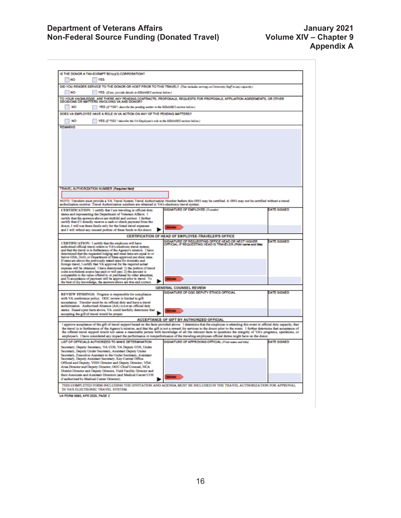### **Department of Veterans Affairs Access 10 Access 10 Access 10 Access 10 Access 10 Access 10 Access 10 Access 10 Non-Federal Source Funding (Donated Travel) Volume XIV – Chapter 9**

| IS THE DONOR A TAX-EXEMPT 501(c)(3) CORPORATION?                                                                                               |                                                                                                                                                                              |                    |
|------------------------------------------------------------------------------------------------------------------------------------------------|------------------------------------------------------------------------------------------------------------------------------------------------------------------------------|--------------------|
| NO <sub>1</sub><br>YES                                                                                                                         |                                                                                                                                                                              |                    |
|                                                                                                                                                |                                                                                                                                                                              |                    |
| DID YOU RENDER SERVICE TO THE DONOR OR HOST PRIOR TO THIS TRAVEL? (The include arring on University Staff in any capacity.)                    |                                                                                                                                                                              |                    |
| NO.<br>YES (F)ss, provide details in REMARKS acctions below.)                                                                                  |                                                                                                                                                                              |                    |
|                                                                                                                                                | TO YOUR KNOWLEDGE, ARE THERE ANY PENDING CONTRACTS, PROPOSALS, REQUESTS FOR PROPOSALS, AFFILIATION AGREEMENTS, OR OTHER<br>DECISIONS OR MATTERS INVOLVING VA AND DONOR?      |                    |
|                                                                                                                                                |                                                                                                                                                                              |                    |
| <b>NO</b><br>YES (If 'TES', describe the panding matter in the REMARCS section below.)                                                         |                                                                                                                                                                              |                    |
| DOES VA EMPLOYEE HAVE A ROLE IN VA ACTION ON ANY OF THE PENDING MATTERS?                                                                       |                                                                                                                                                                              |                    |
|                                                                                                                                                |                                                                                                                                                                              |                    |
| NO <sub>1</sub><br>YES (§ 'TES," describe the FA Employee's role in the REMARKS section below.)                                                |                                                                                                                                                                              |                    |
| <b>REMARKS</b>                                                                                                                                 |                                                                                                                                                                              |                    |
|                                                                                                                                                |                                                                                                                                                                              |                    |
|                                                                                                                                                |                                                                                                                                                                              |                    |
|                                                                                                                                                |                                                                                                                                                                              |                    |
|                                                                                                                                                |                                                                                                                                                                              |                    |
|                                                                                                                                                |                                                                                                                                                                              |                    |
|                                                                                                                                                |                                                                                                                                                                              |                    |
|                                                                                                                                                |                                                                                                                                                                              |                    |
|                                                                                                                                                |                                                                                                                                                                              |                    |
|                                                                                                                                                |                                                                                                                                                                              |                    |
|                                                                                                                                                |                                                                                                                                                                              |                    |
|                                                                                                                                                |                                                                                                                                                                              |                    |
|                                                                                                                                                |                                                                                                                                                                              |                    |
| TRAVEL AUTHORIZATION NUMBER (Required field)                                                                                                   |                                                                                                                                                                              |                    |
|                                                                                                                                                |                                                                                                                                                                              |                    |
|                                                                                                                                                |                                                                                                                                                                              |                    |
|                                                                                                                                                | NOTE: Travelers must provide a VA Travel System Travel Authorization Number before this 0893 may be certified. A 0893 may not be certified without a travel                  |                    |
| authorization number. Travel Authorization numbers are obtained in VA's electronic travel system.                                              |                                                                                                                                                                              |                    |
| CERTIFICATION: I outify that I am traveling in official duty                                                                                   | <b>SIGNATURE OF EMPLOYEE (Traveler)</b>                                                                                                                                      | DATE SIGNED        |
| status and representing the Department of Veterans Affairs. I                                                                                  |                                                                                                                                                                              |                    |
| certify that the answers above are truthful and correct. I further                                                                             |                                                                                                                                                                              |                    |
| certify that if I directly receive a cash or check payment from the                                                                            |                                                                                                                                                                              |                    |
| donor, I will use these funds only for the listed travel expenses                                                                              | <b>MINKADE</b>                                                                                                                                                               |                    |
| and I will refund any unused portion of these funds to the donor.                                                                              |                                                                                                                                                                              |                    |
|                                                                                                                                                | CERTIFICATION OF HEAD OF EMPLOYEE-TRAVELER'S OFFICE                                                                                                                          |                    |
| CERTIFICATION: I certify that the employee will have                                                                                           | SIGNATURE OF REQUESTING OFFICE HEAD OR NEXT HIGHER<br>OFFICIAL IF REQUESTING HEAD IS TRAVELER (Print name and Mis)                                                           | <b>DATE SIGNED</b> |
| authorizad official travel orders in VA's electronic travel system,                                                                            |                                                                                                                                                                              |                    |
| and that the travel is in furtherance of the Agency's mission. I have                                                                          |                                                                                                                                                                              |                    |
| determined that the requested lodging and meal rates are equal to or below GSA, DoD, or Department of State approved per diem rates.           |                                                                                                                                                                              |                    |
| If rates are above the previously stated rates for domestic and                                                                                |                                                                                                                                                                              |                    |
| foreign travel, I certify that VA approval for the required actual                                                                             |                                                                                                                                                                              |                    |
| expense will be obtained. I have determined: 1) the portion of travel                                                                          |                                                                                                                                                                              |                    |
| costs non-federal source has paid or will pay; 2) the amount is<br>comparable to the value offered to or purchased by other attendees;         |                                                                                                                                                                              |                    |
| and 3) acceptance of payment will be approved prior to travel. To                                                                              | <b>Miller milled</b>                                                                                                                                                         |                    |
| the best of my knowledge, the answers above are true and correct.                                                                              |                                                                                                                                                                              |                    |
|                                                                                                                                                | GENERAL COUNSEL REVIEW                                                                                                                                                       |                    |
|                                                                                                                                                | SIGNATURE OF OGC DEPUTY ETHICS OFFICIAL                                                                                                                                      | DATE SIGNED        |
| REVIEW FINDINGS: Program is responsible for compliance<br>with VA conference policy. OGC review is limited to gift                             |                                                                                                                                                                              |                    |
| acceptance. Traveler must be on official duty and have a travel                                                                                |                                                                                                                                                                              |                    |
| authorization. Authorized Ahsence (AA) is not an official duty                                                                                 |                                                                                                                                                                              |                    |
| status. Based upon facts above, VA could lawfully determine that                                                                               | <b>Miller milled</b>                                                                                                                                                         |                    |
| accepting the gift of travel would be proper.                                                                                                  |                                                                                                                                                                              |                    |
|                                                                                                                                                | ACCEPTANCE OF GIFT BY AUTHORIZED OFFICIAL                                                                                                                                    |                    |
|                                                                                                                                                | I approve acceptance of the gift of travel support based on the facts provided above. I determine that the employee is attending this event in official duty capacity, that  |                    |
|                                                                                                                                                | the travel is in furtherance of the Agency's mission, and that the gift is not a reward for services to the donor prior to the event. I further determine that acceptance of |                    |
|                                                                                                                                                | the offered travel support would not cause a reasonable person with knowledge of all the relevant facts to questions the integrity of VA's programs, operations, or          |                    |
| employee's. I have considered any impact the performance or nonperformance of the traveling employees official duties might have on the donor. |                                                                                                                                                                              |                    |
|                                                                                                                                                |                                                                                                                                                                              |                    |
| LIST OF OFFICIALS AUTHORIZED TO MAKE DETERMINATION                                                                                             | SIGNATURE OF APPROVING OFFICIAL (Pres name and state)                                                                                                                        | DATE SIGNED        |
| Secretary; Deputy Secretary, VA COS, VA Deputy COS, Under                                                                                      |                                                                                                                                                                              |                    |
| Secretary, Deputy Under Secretary, Assistant Deputy Under                                                                                      |                                                                                                                                                                              |                    |
| Secretary, Executive Assistant to the Under Secretary, Assistant                                                                               |                                                                                                                                                                              |                    |
| Secretary, Deputy Assistant Secretary, Key Central Office                                                                                      |                                                                                                                                                                              |                    |
| Official and Deputy: VISN Director and Deputy Director, VBA                                                                                    |                                                                                                                                                                              |                    |
| Area Director and Deputy Director, OGC Chief Counsel, NCA                                                                                      |                                                                                                                                                                              |                    |
| District Director and Deputy Director, Field Facility Director and                                                                             |                                                                                                                                                                              |                    |
| their Associate and Assistant Directors (and Medical Center COS                                                                                | <b>Miller milled</b>                                                                                                                                                         |                    |
| if authorized by Medical Center Director).                                                                                                     |                                                                                                                                                                              |                    |
|                                                                                                                                                | THIS COMPLETED FORM INCLUDING THE INVITATION AND AGENDA MUST BE INCLUDED IN THE TRAVEL AUTHORIZATION FOR APPROVAL                                                            |                    |
| IN VA'S ELECTRONIC TRAVEL SYSTEM.                                                                                                              |                                                                                                                                                                              |                    |

VA FORM 0093, APR 2020, PAGE 2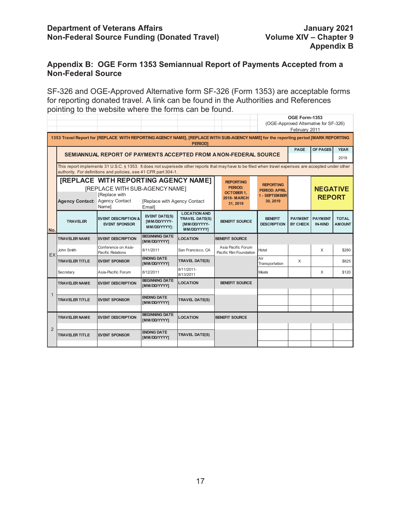## **Department of Veterans Affairs and Department of Veterans Affairs and Department of Veterans Affairs and Department 2021<br>19 Non-Federal Source Funding (Donated Travel) Wolume XIV – Chapter 9 Non-Federal Source Funding (Donated Travel)**

# **Appendix B: OGE Form 1353 Semiannual Report of Payments Accepted from a Non-Federal Source**

SF-326 and OGE-Approved Alternative form SF-326 (Form 1353) are acceptable forms for reporting donated travel. A link can be found in the Authorities and References pointing to the website where the forms can be found.

|                |                                                                                                                                                                                                                         |                                                                                                                |                                                             |                                                                             |                                                                                   |                                                                       | OGE Form-1353                                          |                                  |                               |
|----------------|-------------------------------------------------------------------------------------------------------------------------------------------------------------------------------------------------------------------------|----------------------------------------------------------------------------------------------------------------|-------------------------------------------------------------|-----------------------------------------------------------------------------|-----------------------------------------------------------------------------------|-----------------------------------------------------------------------|--------------------------------------------------------|----------------------------------|-------------------------------|
|                |                                                                                                                                                                                                                         |                                                                                                                |                                                             |                                                                             |                                                                                   |                                                                       | (OGE-Approved Alternative for SF-326)<br>February 2011 |                                  |                               |
|                | 1353 Travel Report for [REPLACE WITH REPORTING AGENCY NAME], [REPLACE WITH SUB-AGENCY NAME] for the reporting period [MARK REPORTING<br><b>PERIODI</b>                                                                  |                                                                                                                |                                                             |                                                                             |                                                                                   |                                                                       |                                                        |                                  |                               |
|                | <b>PAGE</b><br><b>OF PAGES</b><br><b>YEAR</b><br>SEMIANNUAL REPORT OF PAYMENTS ACCEPTED FROM A NON-FEDERAL SOURCE<br>2019                                                                                               |                                                                                                                |                                                             |                                                                             |                                                                                   |                                                                       |                                                        |                                  |                               |
|                | This report implements 31 U.S.C. § 1353. It does not supersede other reports that may have to be filed when travel expenses are accepted under other<br>authority. For definitions and policies, see 41 CFR part 304-1. |                                                                                                                |                                                             |                                                                             |                                                                                   |                                                                       |                                                        |                                  |                               |
|                | Agency Contact: Agency Contact                                                                                                                                                                                          | <b>[REPLACE WITH REPORTING AGENCY NAME]</b><br>[REPLACE WITH SUB-AGENCY NAME]<br><b>IReplace with</b><br>Namel | [Replace with Agency Contact<br>Emaill                      |                                                                             | <b>REPORTING</b><br>PERIOD:<br><b>OCTOBER 1,</b><br><b>2018-MARCH</b><br>31, 2019 | <b>REPORTING</b><br><b>PERIOD: APRIL</b><br>1 - SEPTEMBER<br>30, 2019 |                                                        | <b>NEGATIVE</b><br><b>REPORT</b> |                               |
| No.            | <b>TRAVELER</b>                                                                                                                                                                                                         | <b>EVENT DESCRIPTION &amp;</b><br><b>EVENT SPONSOR</b>                                                         | <b>EVENT DATE(S)</b><br><b>IMM/DD/YYYY-</b><br>MM/DD/YYYY]: | <b>LOCATION AND</b><br><b>TRAVEL DATE(S)</b><br>[MM/DD/YYYY-<br>MM/DD/YYYY] | <b>BENEFIT SOURCE</b>                                                             | <b>BENEFIT</b><br><b>DESCRIPTION</b>                                  | <b>PAYMENT</b><br><b>BY CHECK</b>                      | <b>PAYMENT</b><br><b>IN-KIND</b> | <b>TOTAL</b><br><b>AMOUNT</b> |
|                | <b>TRAVELER NAME</b>                                                                                                                                                                                                    | <b>EVENT DESCRIPTION</b>                                                                                       | <b>BEGINNING DATE</b><br>[MM/DD/YYYY]                       | <b>LOCATION</b>                                                             | <b>BENEFIT SOURCE</b>                                                             |                                                                       |                                                        |                                  |                               |
| EX             | John Smith                                                                                                                                                                                                              | Conference on Asia-<br>Pacific Relations                                                                       | 8/11/2011                                                   | San Francisco, CA                                                           | Asia Pacific Forum<br>Pacific Rim Foundation                                      | Hotel                                                                 |                                                        | X                                | \$280                         |
|                | <b>TRAVELER TITLE</b>                                                                                                                                                                                                   | <b>EVENT SPONSOR</b>                                                                                           | <b>ENDING DATE</b><br>[MM/DD/YYYY]                          | <b>TRAVEL DATE(S)</b>                                                       |                                                                                   | Air<br>Transportation                                                 | X                                                      |                                  | \$825                         |
|                | Secretary                                                                                                                                                                                                               | Asia-Pacific Forum                                                                                             | 8/12/2011                                                   | 8/11/2011-<br>8/13/2011                                                     |                                                                                   | Meals                                                                 |                                                        | $\times$                         | \$120                         |
|                | <b>TRAVELER NAME</b>                                                                                                                                                                                                    | <b>EVENT DESCRIPTION</b>                                                                                       | <b>BEGINNING DATE</b><br>[MM/DD/YYYY]                       | <b>LOCATION</b>                                                             | <b>BENEFIT SOURCE</b>                                                             |                                                                       |                                                        |                                  |                               |
| $\mathbf{1}$   | <b>TRAVELER TITLE</b>                                                                                                                                                                                                   | <b>EVENT SPONSOR</b>                                                                                           | <b>ENDING DATE</b><br>[MM/DD/YYYY]                          | <b>TRAVEL DATE(S)</b>                                                       |                                                                                   |                                                                       |                                                        |                                  |                               |
|                | <b>TRAVELER NAME</b>                                                                                                                                                                                                    | <b>EVENT DESCRIPTION</b>                                                                                       | <b>BEGINNING DATE</b><br>[MM/DD/YYYY]                       | <b>LOCATION</b>                                                             | <b>BENEFIT SOURCE</b>                                                             |                                                                       |                                                        |                                  |                               |
| $\overline{2}$ | <b>TRAVELER TITLE</b>                                                                                                                                                                                                   | <b>EVENT SPONSOR</b>                                                                                           | <b>ENDING DATE</b><br>[MM/DD/YYYY]                          | <b>TRAVEL DATE(S)</b>                                                       |                                                                                   |                                                                       |                                                        |                                  |                               |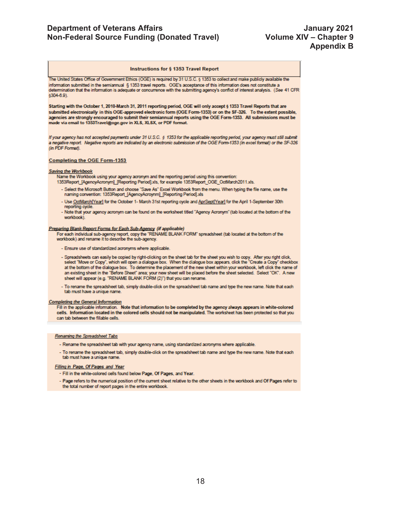### **Department of Veterans Affairs And Accord Control Control Control Control Control Control Control Control Control Control Control Control Control Control Control Control Control Control Control Control Control Control Con Non-Federal Source Funding (Donated Travel) Volume XIV – Chapter 9**

### Instructions for § 1353 Travel Report

The United States Office of Government Ethics (OGE) is required by 31 U.S.C. § 1353 to collect and make publicly available the information submitted in the semiannual § 1353 travel reports. OGE's acceptance of this information does not constitute a determination that the information is adequate or concurrence with the submitting agency's conflict of interest analysis. (See 41 CFR  $6304-6.9$ ).

Starting with the October 1, 2010-March 31, 2011 reporting period, OGE will only accept § 1353 Travel Reports that are submitted electronically in this OGE-approved electronic form (OGE Form-1353) or on the SF-326. To the extent possible, agencies are strongly encouraged to submit their semiannual reports using the OGE Form-1353. All submissions must be made via email to 1353Travel@oge.gov in XLS, XLSX, or PDF format.

If your agency has not accepted payments under 31 U.S.C. § 1353 for the applicable reporting period, your agency must still submit a negative report. Negative reports are indicated by an electronic submission of the OGE Form-1353 (in excel format) or the SF-326 (in PDF Format).

### **Completing the OGE Form-1353**

### **Saving the Workbook**

Name the Workbook using your agency acronym and the reporting period using this convention:

- 1353Report\_[AgencyAcronym]\_[Reporting Period].xls, for example 1353Report\_OGE\_OctMarch2011.xls.
- Select the Microsoft Button and choose "Save As" Excel Workbook from the menu. When typing the file name, use the naming convention: 1353Report\_[AgencyAcroynm]\_[Reporting Period].xls
- Use OctMarch[Year] for the October 1- March 31st reporting cycle and AprSept[Year] for the April 1-September 30th reporting cycle.
- Note that your agency acronym can be found on the worksheet titled "Agency Acronym" (tab located at the bottom of the workbook).

### Preparing Blank Report Forms for Each Sub-Agency (if applicable)

For each individual sub-agency report, copy the "RENAME BLANK FORM" spreadsheet (tab located at the bottom of the workbook) and rename it to describe the sub-agency.

- Ensure use of standardized acronyms where applicable.
- Spreadsheets can easily be copied by right-dicking on the sheet tab for the sheet you wish to copy. After you right dick,<br>select "Move or Copy", which will open a dialogue box. When the dialogue box appears, click the "C at the bottom of the dialogue box. To determine the placement of the new sheet within your workbook, left click the name of an existing sheet in the "Before Sheet" area; your new sheet will be placed before the sheet selected. Select "OK". A new sheet will appear (e.g. "RENAME BLANK FORM (2)") that you can rename.
- To rename the spreadsheet tab, simply double-click on the spreadsheet tab name and type the new name. Note that each tab must have a unique name.

### **Completing the General Information**

Fill in the applicable information. Note that information to be completed by the agency always appears in white-colored cells. Information located in the colored cells should not be manipulated. The worksheet has been protected so that you can tab between the fillable cells.

#### Renaming the Spreadsheet Tabs

- Rename the spreadsheet tab with your agency name, using standardized acronyms where applicable.
- To rename the spreadsheet tab, simply double-click on the spreadsheet tab name and type the new name. Note that each tab must have a unique name.

### Filling in Page, Of Pages and Year

- Fill in the white-colored cells found below Page, Of Pages, and Year.
- Page refers to the numerical position of the current sheet relative to the other sheets in the workbook and Of Pages refer to the total number of report pages in the entire workbook.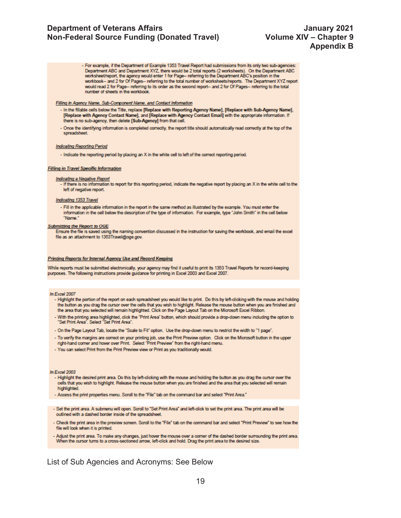- For example, if the Department of Example 1353 Travel Report had submissions from its only two sub-agencies: Department ABC and Department XYZ, there would be 2 total reports (2 worksheets). On the Department ABC worksheet/report, the agency would enter 1 for Page -- referring to the Department ABC's position in the workbook-- and 2 for Of Pages-- referring to the total number of worksheets/reports. The Department XYZ report would read 2 for Page -- referring to its order as the second report -- and 2 for Of Pages -- referring to the total number of sheets in the workbook.

### Filling in Agency Name, Sub-Component Name, and Contact Information

- In the fillable cells below the Title, replace [Replace with Reporting Agency Name], [Replace with Sub-Agency Name], [Replace with Agency Contact Name], and [Replace with Agency Contact Email] with the appropriate information. If there is no sub-agency, then delete [Sub-Agency] from that cell.
- Once the identifying information is completed correctly, the report title should automatically read correctly at the top of the spreadsheet.

### **Indicating Reporting Period**

- Indicate the reporting period by placing an X in the white cell to left of the correct reporting period.

### **Filling in Travel Specific Information**

### **Indicating a Negative Report**

- If there is no information to report for this reporting period, indicate the negative report by placing an X in the white cell to the left of negative report.

#### Indicating 1353 Travel

- Fill in the applicable information in the report in the same method as illustrated by the example. You must enter the information in the cell below the description of the type of information. For example, type "John Smith" in the cell below "Name."

### **Submitting the Report to OGE**

Ensure the file is saved using the naming convention discussed in the instruction for saving the workbook, and email the excel file as an attachment to 1353Travel@oge.gov.

### **Printing Reports for Internal Agency Use and Record Keeping**

While reports must be submitted electronically, your agency may find it useful to print its 1353 Travel Reports for record-keeping purposes. The following instructions provide guidance for printing in Excel 2003 and Excel 2007.

#### In Excel 2007

- Highlight the portion of the report on each spreadsheet you would like to print. Do this by left-clicking with the mouse and holding the button as you drag the cursor over the cells that you wish to highlight. Release the mouse button when you are finished and the area that you selected will remain highlighted. Click on the Page Layout Tab on the Microsoft Excel Ribbon.
- With the printing area highlighted, click the "Print Area" button, which should provide a drop-down menu including the option to<br>"Set Print Area". Select "Set Print Area".
- On the Page Layout Tab, locate the "Scale to Fit" option. Use the drop-down menu to restrict the width to "1 page".
- To verify the margins are correct on your printing job, use the Print Preview option. Click on the Microsoft button in the upper right-hand corner and hover over Print. Select "Print Preview" from the right-hand menu.
- You can select Print from the Print Preview view or Print as you traditionally would.

In Excel 2003

- Highlight the desired print area. Do this by left-clicking with the mouse and holding the button as you drag the cursor over the cells that you wish to highlight. Release the mouse button when you are finished and the area that you selected will remain highlighted.
- Access the print properties menu. Scroll to the "File" tab on the command bar and select "Print Area."
- Set the print area. A submenu will open. Scroll to "Set Print Area" and left-click to set the print area. The print area will be outlined with a dashed border inside of the spreadsheet.
- Check the print area in the preview screen. Scroll to the "File" tab on the command bar and select "Print Preview" to see how the file will look when it is printed.
- Adjust the print area. To make any changes, just hover the mouse over a comer of the dashed border surrounding the print area. When the cursor turns to a cross-sectioned arrow, left-click and hold. Drag the print area to the desired size.

### List of Sub Agencies and Acronyms: See Below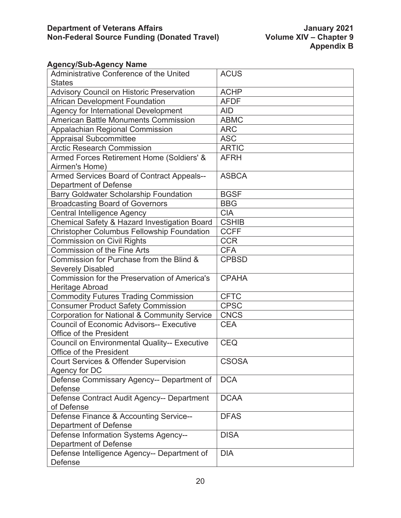# **Agency/Sub-Agency Name**

| Administrative Conference of the United                 | <b>ACUS</b>  |
|---------------------------------------------------------|--------------|
| <b>States</b>                                           |              |
| <b>Advisory Council on Historic Preservation</b>        | <b>ACHP</b>  |
| <b>African Development Foundation</b>                   | <b>AFDF</b>  |
| Agency for International Development                    | <b>AID</b>   |
| <b>American Battle Monuments Commission</b>             | <b>ABMC</b>  |
| <b>Appalachian Regional Commission</b>                  | <b>ARC</b>   |
| <b>Appraisal Subcommittee</b>                           | <b>ASC</b>   |
| <b>Arctic Research Commission</b>                       | <b>ARTIC</b> |
| Armed Forces Retirement Home (Soldiers' &               | <b>AFRH</b>  |
| Airmen's Home)                                          |              |
| Armed Services Board of Contract Appeals--              | <b>ASBCA</b> |
| Department of Defense                                   |              |
| <b>Barry Goldwater Scholarship Foundation</b>           | <b>BGSF</b>  |
| <b>Broadcasting Board of Governors</b>                  | <b>BBG</b>   |
| Central Intelligence Agency                             | <b>CIA</b>   |
| <b>Chemical Safety &amp; Hazard Investigation Board</b> | <b>CSHIB</b> |
| <b>Christopher Columbus Fellowship Foundation</b>       | <b>CCFF</b>  |
| <b>Commission on Civil Rights</b>                       | <b>CCR</b>   |
| <b>Commission of the Fine Arts</b>                      | <b>CFA</b>   |
| Commission for Purchase from the Blind &                | <b>CPBSD</b> |
| <b>Severely Disabled</b>                                |              |
| Commission for the Preservation of America's            | <b>CPAHA</b> |
| Heritage Abroad                                         |              |
| <b>Commodity Futures Trading Commission</b>             | <b>CFTC</b>  |
| <b>Consumer Product Safety Commission</b>               | <b>CPSC</b>  |
| <b>Corporation for National &amp; Community Service</b> | <b>CNCS</b>  |
| <b>Council of Economic Advisors-- Executive</b>         | <b>CEA</b>   |
| <b>Office of the President</b>                          |              |
| <b>Council on Environmental Quality-- Executive</b>     | <b>CEQ</b>   |
| Office of the President                                 |              |
| <b>Court Services &amp; Offender Supervision</b>        | <b>CSOSA</b> |
| Agency for DC                                           |              |
| Defense Commissary Agency-- Department of               | <b>DCA</b>   |
| Defense                                                 |              |
| Defense Contract Audit Agency-- Department              | <b>DCAA</b>  |
| of Defense                                              |              |
| Defense Finance & Accounting Service--                  | <b>DFAS</b>  |
| Department of Defense                                   |              |
| Defense Information Systems Agency--                    | <b>DISA</b>  |
| <b>Department of Defense</b>                            |              |
| Defense Intelligence Agency-- Department of             | <b>DIA</b>   |
| Defense                                                 |              |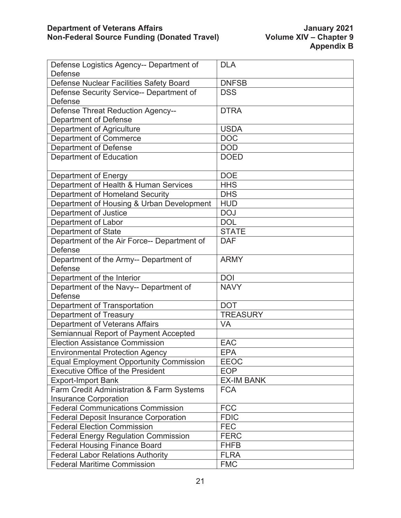| Defense Logistics Agency-- Department of       | <b>DLA</b>        |
|------------------------------------------------|-------------------|
| <b>Defense</b>                                 |                   |
| Defense Nuclear Facilities Safety Board        | <b>DNFSB</b>      |
| Defense Security Service-- Department of       | <b>DSS</b>        |
| Defense                                        |                   |
| <b>Defense Threat Reduction Agency--</b>       | <b>DTRA</b>       |
| <b>Department of Defense</b>                   |                   |
| Department of Agriculture                      | <b>USDA</b>       |
| <b>Department of Commerce</b>                  | <b>DOC</b>        |
| <b>Department of Defense</b>                   | <b>DOD</b>        |
| Department of Education                        | <b>DOED</b>       |
|                                                |                   |
| Department of Energy                           | <b>DOE</b>        |
| Department of Health & Human Services          | <b>HHS</b>        |
| Department of Homeland Security                | <b>DHS</b>        |
| Department of Housing & Urban Development      | <b>HUD</b>        |
| Department of Justice                          | <b>DOJ</b>        |
| Department of Labor                            | <b>DOL</b>        |
| <b>Department of State</b>                     | <b>STATE</b>      |
| Department of the Air Force-- Department of    | <b>DAF</b>        |
| <b>Defense</b>                                 |                   |
| Department of the Army-- Department of         | <b>ARMY</b>       |
| <b>Defense</b>                                 |                   |
| Department of the Interior                     | <b>DOI</b>        |
| Department of the Navy-- Department of         | <b>NAVY</b>       |
| <b>Defense</b>                                 |                   |
| Department of Transportation                   | <b>DOT</b>        |
| Department of Treasury                         | <b>TREASURY</b>   |
| Department of Veterans Affairs                 | <b>VA</b>         |
| Semiannual Report of Payment Accepted          |                   |
| <b>Election Assistance Commission</b>          | <b>EAC</b>        |
| <b>Environmental Protection Agency</b>         | <b>EPA</b>        |
| <b>Equal Employment Opportunity Commission</b> | <b>EEOC</b>       |
| <b>Executive Office of the President</b>       | <b>EOP</b>        |
| <b>Export-Import Bank</b>                      | <b>EX-IM BANK</b> |
| Farm Credit Administration & Farm Systems      | <b>FCA</b>        |
| <b>Insurance Corporation</b>                   |                   |
| <b>Federal Communications Commission</b>       | <b>FCC</b>        |
| <b>Federal Deposit Insurance Corporation</b>   | <b>FDIC</b>       |
| <b>Federal Election Commission</b>             | <b>FEC</b>        |
| <b>Federal Energy Regulation Commission</b>    | <b>FERC</b>       |
| <b>Federal Housing Finance Board</b>           | <b>FHFB</b>       |
| <b>Federal Labor Relations Authority</b>       | <b>FLRA</b>       |
| <b>Federal Maritime Commission</b>             | <b>FMC</b>        |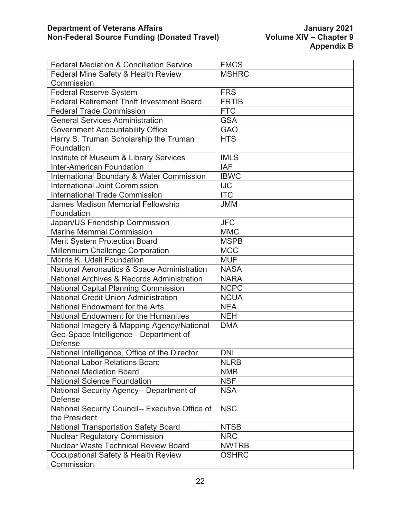| <b>Federal Mediation &amp; Conciliation Service</b> | <b>FMCS</b>  |
|-----------------------------------------------------|--------------|
| Federal Mine Safety & Health Review                 | <b>MSHRC</b> |
| Commission                                          |              |
| <b>Federal Reserve System</b>                       | <b>FRS</b>   |
| <b>Federal Retirement Thrift Investment Board</b>   | <b>FRTIB</b> |
| <b>Federal Trade Commission</b>                     | <b>FTC</b>   |
| <b>General Services Administration</b>              | <b>GSA</b>   |
| <b>Government Accountability Office</b>             | <b>GAO</b>   |
| Harry S. Truman Scholarship the Truman              | <b>HTS</b>   |
| Foundation                                          |              |
| Institute of Museum & Library Services              | <b>IMLS</b>  |
| <b>Inter-American Foundation</b>                    | <b>IAF</b>   |
| International Boundary & Water Commission           | <b>IBWC</b>  |
| <b>International Joint Commission</b>               | <b>IJC</b>   |
| <b>International Trade Commission</b>               | <b>ITC</b>   |
| <b>James Madison Memorial Fellowship</b>            | <b>JMM</b>   |
| Foundation                                          |              |
| Japan/US Friendship Commission                      | <b>JFC</b>   |
| <b>Marine Mammal Commission</b>                     | <b>MMC</b>   |
| <b>Merit System Protection Board</b>                | <b>MSPB</b>  |
| Millennium Challenge Corporation                    | <b>MCC</b>   |
| Morris K. Udall Foundation                          | <b>MUF</b>   |
| National Aeronautics & Space Administration         | <b>NASA</b>  |
| National Archives & Records Administration          | <b>NARA</b>  |
| <b>National Capital Planning Commission</b>         | <b>NCPC</b>  |
| <b>National Credit Union Administration</b>         | <b>NCUA</b>  |
| <b>National Endowment for the Arts</b>              | <b>NEA</b>   |
| National Endowment for the Humanities               | <b>NEH</b>   |
| National Imagery & Mapping Agency/National          | <b>DMA</b>   |
| Geo-Space Intelligence-- Department of              |              |
| Defense                                             |              |
| National Intelligence, Office of the Director       | <b>DNI</b>   |
| <b>National Labor Relations Board</b>               | <b>NLRB</b>  |
| <b>National Mediation Board</b>                     | <b>NMB</b>   |
| <b>National Science Foundation</b>                  | <b>NSF</b>   |
| National Security Agency-- Department of            | <b>NSA</b>   |
| <b>Defense</b>                                      |              |
| National Security Council-- Executive Office of     | <b>NSC</b>   |
| the President                                       |              |
| <b>National Transportation Safety Board</b>         | <b>NTSB</b>  |
| <b>Nuclear Regulatory Commission</b>                | <b>NRC</b>   |
| <b>Nuclear Waste Technical Review Board</b>         | <b>NWTRB</b> |
| Occupational Safety & Health Review                 | <b>OSHRC</b> |
| Commission                                          |              |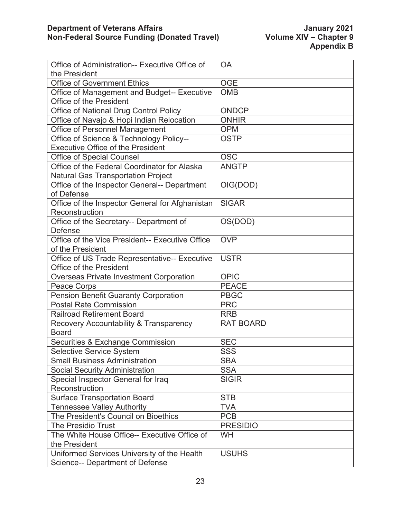| Office of Administration-- Executive Office of  | OA               |
|-------------------------------------------------|------------------|
| the President                                   |                  |
| <b>Office of Government Ethics</b>              | <b>OGE</b>       |
| Office of Management and Budget-- Executive     | <b>OMB</b>       |
| <b>Office of the President</b>                  |                  |
| Office of National Drug Control Policy          | ONDCP            |
| Office of Navajo & Hopi Indian Relocation       | <b>ONHIR</b>     |
| Office of Personnel Management                  | <b>OPM</b>       |
| Office of Science & Technology Policy--         | <b>OSTP</b>      |
| <b>Executive Office of the President</b>        |                  |
| <b>Office of Special Counsel</b>                | <b>OSC</b>       |
| Office of the Federal Coordinator for Alaska    | <b>ANGTP</b>     |
| <b>Natural Gas Transportation Project</b>       |                  |
| Office of the Inspector General-- Department    | OIG(DOD)         |
| of Defense                                      |                  |
| Office of the Inspector General for Afghanistan | <b>SIGAR</b>     |
| Reconstruction                                  |                  |
| Office of the Secretary-- Department of         | OS(DOD)          |
| <b>Defense</b>                                  |                  |
| Office of the Vice President-- Executive Office | <b>OVP</b>       |
| of the President                                |                  |
| Office of US Trade Representative-- Executive   | <b>USTR</b>      |
| <b>Office of the President</b>                  |                  |
| <b>Overseas Private Investment Corporation</b>  | <b>OPIC</b>      |
| Peace Corps                                     | <b>PEACE</b>     |
| <b>Pension Benefit Guaranty Corporation</b>     | <b>PBGC</b>      |
| <b>Postal Rate Commission</b>                   | <b>PRC</b>       |
| <b>Railroad Retirement Board</b>                | <b>RRB</b>       |
| Recovery Accountability & Transparency          | <b>RAT BOARD</b> |
| <b>Board</b>                                    |                  |
| Securities & Exchange Commission                | <b>SEC</b>       |
| <b>Selective Service System</b>                 | SSS              |
| <b>Small Business Administration</b>            | <b>SBA</b>       |
| <b>Social Security Administration</b>           | <b>SSA</b>       |
| Special Inspector General for Iraq              | <b>SIGIR</b>     |
| Reconstruction                                  |                  |
| <b>Surface Transportation Board</b>             | <b>STB</b>       |
| <b>Tennessee Valley Authority</b>               | <b>TVA</b>       |
| The President's Council on Bioethics            | <b>PCB</b>       |
| The Presidio Trust                              | <b>PRESIDIO</b>  |
| The White House Office-- Executive Office of    | <b>WH</b>        |
| the President                                   |                  |
| Uniformed Services University of the Health     | <b>USUHS</b>     |
| <b>Science-- Department of Defense</b>          |                  |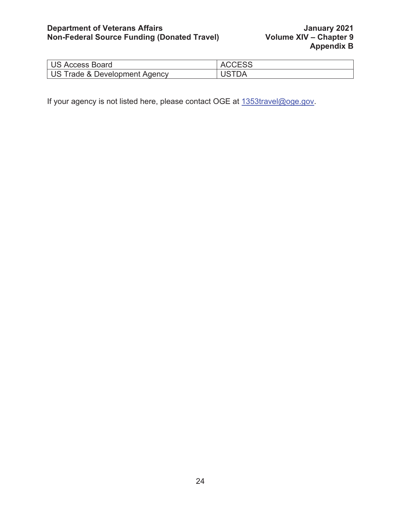# **Department of Veterans Affairs Access 10 Access 10 Access 10 Access 10 Access 10 Access 10 Access 10 Access 10 Non-Federal Source Funding (Donated Travel) Volume XIV – Chapter 9**

| US Access Board               | <b>ACCESS</b> |
|-------------------------------|---------------|
| US Trade & Development Agency |               |

If your agency is not listed here, please contact OGE at  $1353$ travel@oge.gov.